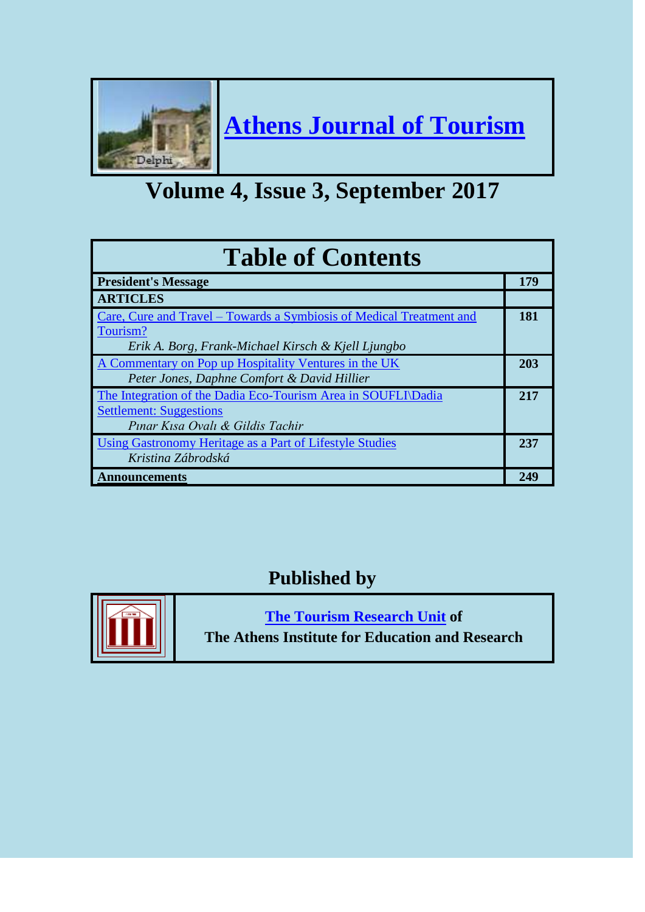

# **[Athens Journal of](http://www.athensjournals.gr/ajt) Tourism**

## **Volume 4, Issue 3, September 2017**

| <b>Table of Contents</b>                                                                                                               |     |
|----------------------------------------------------------------------------------------------------------------------------------------|-----|
| <b>President's Message</b>                                                                                                             | 179 |
| <b>ARTICLES</b>                                                                                                                        |     |
| Care, Cure and Travel – Towards a Symbiosis of Medical Treatment and<br>Tourism?<br>Erik A. Borg, Frank-Michael Kirsch & Kjell Ljungbo | 181 |
| A Commentary on Pop up Hospitality Ventures in the UK<br>Peter Jones, Daphne Comfort & David Hillier                                   | 203 |
| The Integration of the Dadia Eco-Tourism Area in SOUFLI\Dadia<br><b>Settlement: Suggestions</b><br>Pinar Kisa Ovalı & Gildis Tachir    | 217 |
| Using Gastronomy Heritage as a Part of Lifestyle Studies<br>Kristina Zábrodská                                                         | 237 |
| <b>Announcements</b>                                                                                                                   | 249 |

### **Published by**



**The Tourism [Research Unit](http://www.atiner.gr/TOURISM-UNIT.htm) of**

**The Athens Institute for Education and Research**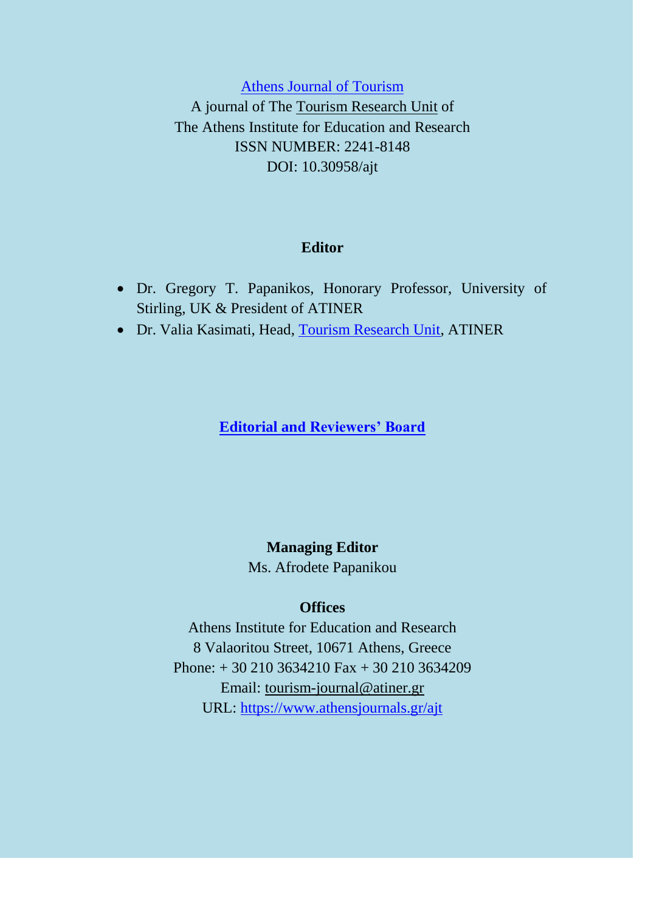[Athens Journal of Tourism](http://www.athensjournals.gr/ajt) A journal of The [Tourism Research Unit](http://www.atiner.gr/docs/TOURISM_UNIT.htm) of The Athens Institute for Education and Research ISSN NUMBER: 2241-8148 DOI: 10.30958/ajt

#### **Editor**

- Dr. Gregory T. Papanikos, Honorary Professor, University of Stirling, UK & President of ATINER
- Dr. Valia Kasimati, Head, [Tourism Research Unit,](http://www.atiner.gr/docs/TOURISM_UNIT.htm) ATINER

**[Editorial and Reviewers' Board](http://www.athensjournals.gr/athens-journal-of-tourism/editorial-and-reviewers-board-of-the-tourism-journal)**

#### **Managing Editor**

Ms. Afrodete Papanikou

#### **Offices**

Athens Institute for Education and Research 8 Valaoritou Street, 10671 Athens, Greece Phone: + 30 210 3634210 Fax + 30 210 3634209 Email: [tourism-journal@atiner.gr](mailto:tourism-journal@atiner.gr) URL:<https://www.athensjournals.gr/ajt>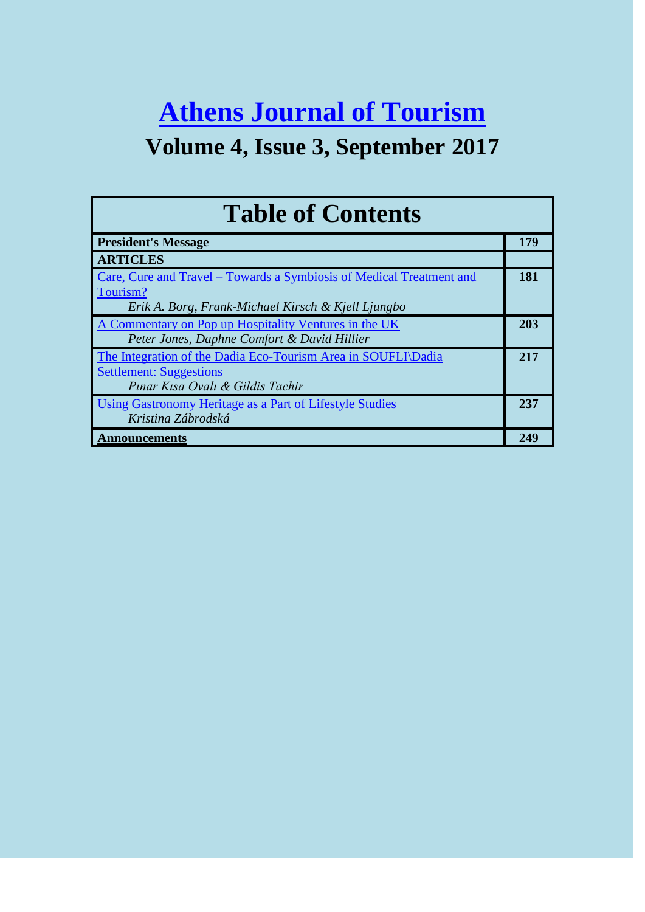# **[Athens Journal of Tourism](http://www.athensjournals.gr/ajt) Volume 4, Issue 3, September 2017**

| <b>Table of Contents</b>                                                                                                               |     |
|----------------------------------------------------------------------------------------------------------------------------------------|-----|
| <b>President's Message</b>                                                                                                             | 179 |
| <b>ARTICLES</b>                                                                                                                        |     |
| Care, Cure and Travel - Towards a Symbiosis of Medical Treatment and<br>Tourism?<br>Erik A. Borg, Frank-Michael Kirsch & Kjell Ljungbo | 181 |
| A Commentary on Pop up Hospitality Ventures in the UK<br>Peter Jones, Daphne Comfort & David Hillier                                   | 203 |
| The Integration of the Dadia Eco-Tourism Area in SOUFLI\Dadia<br><b>Settlement: Suggestions</b><br>Pinar Kisa Ovalı & Gildis Tachir    | 217 |
| Using Gastronomy Heritage as a Part of Lifestyle Studies<br>Kristina Zábrodská                                                         | 237 |
| Announcements                                                                                                                          | 249 |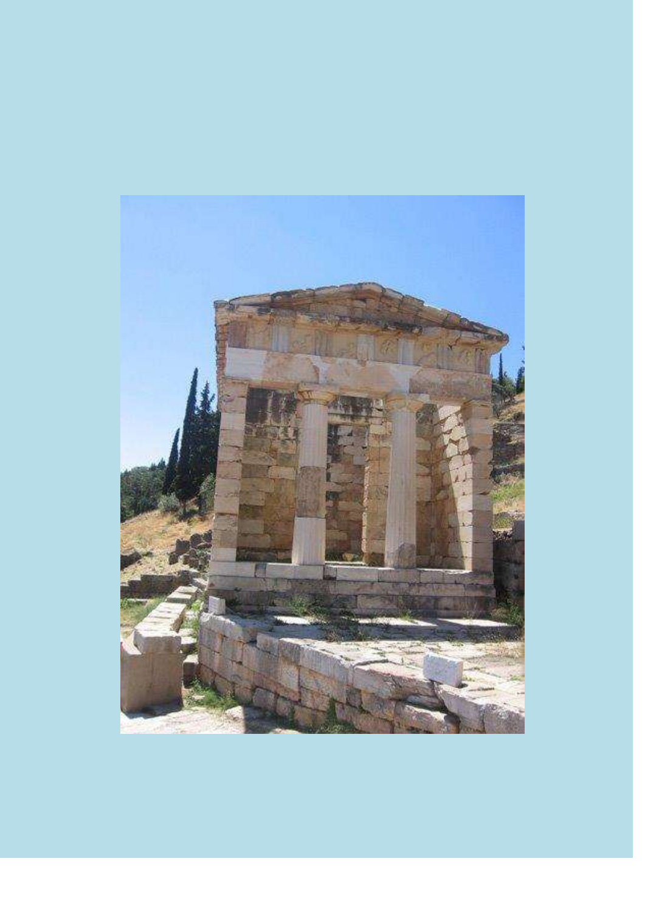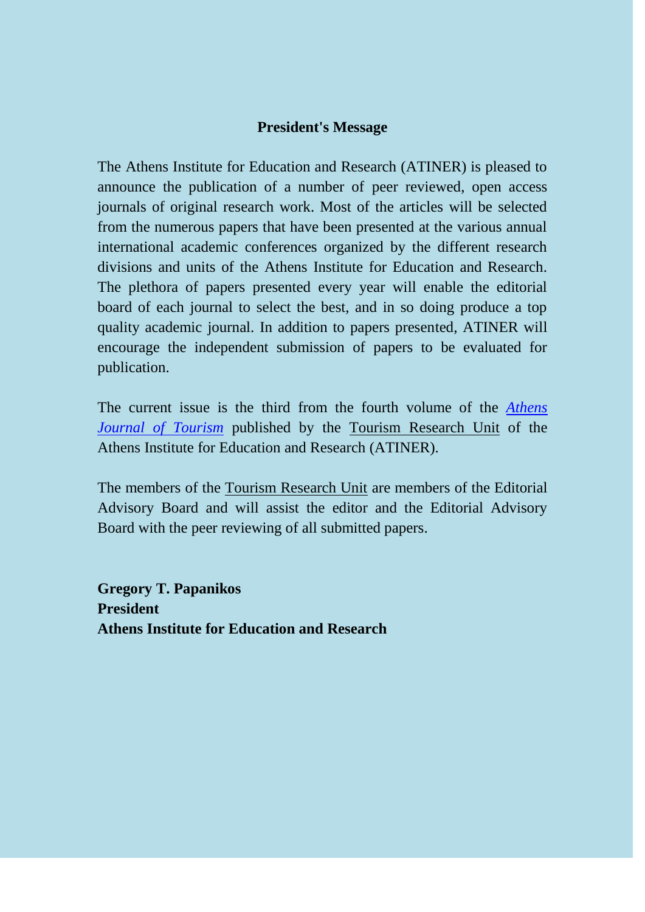#### **President's Message**

The Athens Institute for Education and Research (ATINER) is pleased to announce the publication of a number of peer reviewed, open access journals of original research work. Most of the articles will be selected from the numerous papers that have been presented at the various annual international academic conferences organized by the different research divisions and units of the Athens Institute for Education and Research. The plethora of papers presented every year will enable the editorial board of each journal to select the best, and in so doing produce a top quality academic journal. In addition to papers presented, ATINER will encourage the independent submission of papers to be evaluated for publication.

The current issue is the third from the fourth volume of the *[Athens](http://www.athensjournals.gr/ajt)  [Journal of Tourism](http://www.athensjournals.gr/ajt)* published by the Tourism [Research Unit](http://www.atiner.gr/docs/TOURISM_UNIT.htm) of the Athens Institute for Education and Research (ATINER).

The members of the [Tourism Research Unit](http://www.atiner.gr/docs/TOURISM_UNIT.htm) are members of the Editorial Advisory Board and will assist the editor and the Editorial Advisory Board with the peer reviewing of all submitted papers.

**Gregory T. Papanikos President Athens Institute for Education and Research**